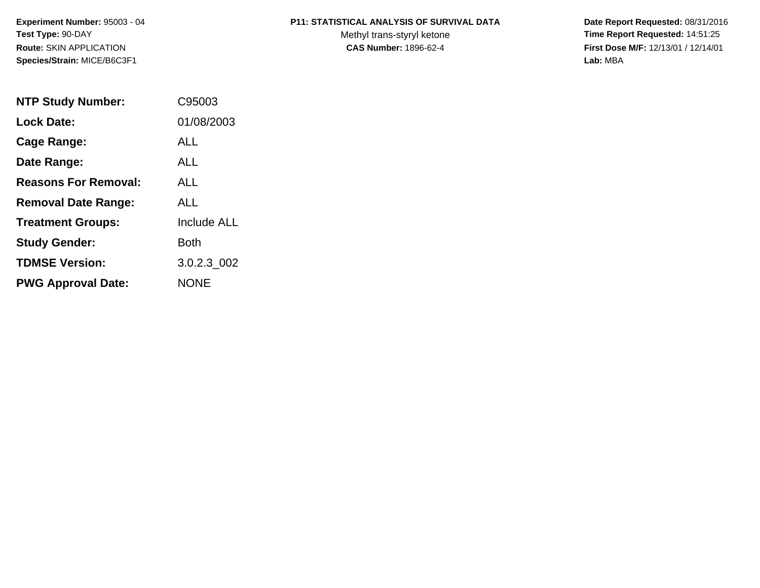**Experiment Number:** 95003 - 04**Test Type:** 90-DAY**Route:** SKIN APPLICATION**Species/Strain:** MICE/B6C3F1

## **P11: STATISTICAL ANALYSIS OF SURVIVAL DATA**

Methyl trans-styryl ketone<br>CAS Number: 1896-62-4

 **Date Report Requested:** 08/31/2016 **Time Report Requested:** 14:51:25 **First Dose M/F:** 12/13/01 / 12/14/01<br>Lab: MBA **Lab:** MBA

| <b>NTP Study Number:</b>    | C95003             |
|-----------------------------|--------------------|
| <b>Lock Date:</b>           | 01/08/2003         |
| Cage Range:                 | ALL                |
| Date Range:                 | AI I               |
| <b>Reasons For Removal:</b> | AI I               |
| <b>Removal Date Range:</b>  | ALL                |
| <b>Treatment Groups:</b>    | <b>Include ALL</b> |
| <b>Study Gender:</b>        | Both               |
| <b>TDMSE Version:</b>       | 3.0.2.3 002        |
| <b>PWG Approval Date:</b>   | <b>NONE</b>        |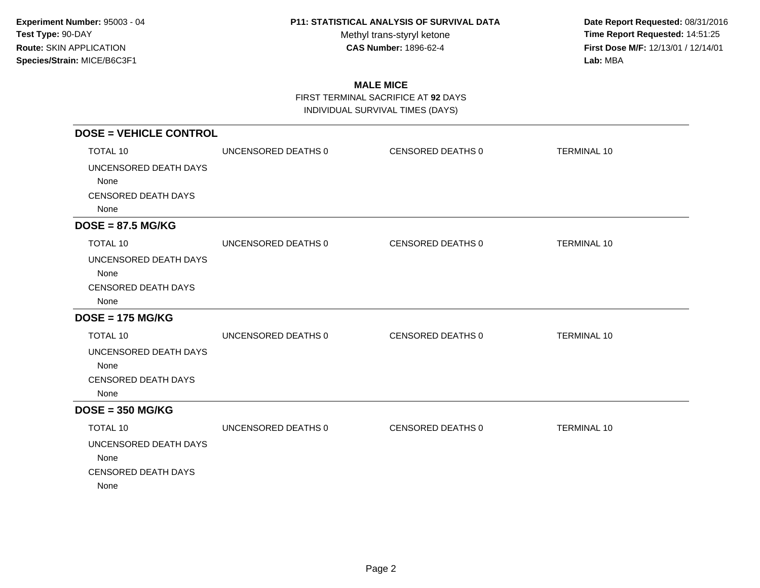Methyl trans-styryl ketone<br>CAS Number: 1896-62-4

 **Date Report Requested:** 08/31/2016 **Time Report Requested:** 14:51:25 **First Dose M/F:** 12/13/01 / 12/14/01<br>Lab: MBA **Lab:** MBA

# **MALE MICE**

FIRST TERMINAL SACRIFICE AT **92** DAYS

| <b>DOSE = VEHICLE CONTROL</b> |                     |                   |                    |
|-------------------------------|---------------------|-------------------|--------------------|
| <b>TOTAL 10</b>               | UNCENSORED DEATHS 0 | CENSORED DEATHS 0 | <b>TERMINAL 10</b> |
| UNCENSORED DEATH DAYS         |                     |                   |                    |
| None                          |                     |                   |                    |
| <b>CENSORED DEATH DAYS</b>    |                     |                   |                    |
| None                          |                     |                   |                    |
| $DOSE = 87.5 MG/KG$           |                     |                   |                    |
| <b>TOTAL 10</b>               | UNCENSORED DEATHS 0 | CENSORED DEATHS 0 | <b>TERMINAL 10</b> |
| UNCENSORED DEATH DAYS         |                     |                   |                    |
| None                          |                     |                   |                    |
| <b>CENSORED DEATH DAYS</b>    |                     |                   |                    |
| None                          |                     |                   |                    |
| $DOSE = 175 MG/KG$            |                     |                   |                    |
| <b>TOTAL 10</b>               | UNCENSORED DEATHS 0 | CENSORED DEATHS 0 | <b>TERMINAL 10</b> |
| UNCENSORED DEATH DAYS         |                     |                   |                    |
| None                          |                     |                   |                    |
| <b>CENSORED DEATH DAYS</b>    |                     |                   |                    |
| None                          |                     |                   |                    |
| $DOSE = 350 MG/KG$            |                     |                   |                    |
| TOTAL 10                      | UNCENSORED DEATHS 0 | CENSORED DEATHS 0 | <b>TERMINAL 10</b> |
| UNCENSORED DEATH DAYS         |                     |                   |                    |
| None                          |                     |                   |                    |
| <b>CENSORED DEATH DAYS</b>    |                     |                   |                    |
| None                          |                     |                   |                    |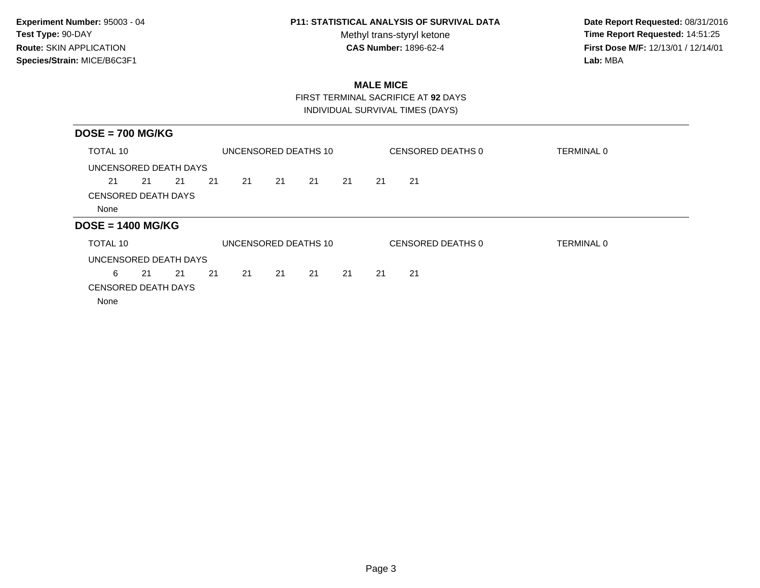Methyl trans-styryl ketone<br>CAS Number: 1896-62-4

 **Date Report Requested:** 08/31/2016 **Time Report Requested:** 14:51:25 **First Dose M/F:** 12/13/01 / 12/14/01<br>Lab: MBA **Lab:** MBA

# **MALE MICE**

FIRST TERMINAL SACRIFICE AT **92** DAYS

| $DOSE = 700 MG/KG$         |    |    |    |    |    |                      |    |    |                   |                   |
|----------------------------|----|----|----|----|----|----------------------|----|----|-------------------|-------------------|
| <b>TOTAL 10</b>            |    |    |    |    |    | UNCENSORED DEATHS 10 |    |    | CENSORED DEATHS 0 | <b>TERMINAL 0</b> |
| UNCENSORED DEATH DAYS      |    |    |    |    |    |                      |    |    |                   |                   |
| 21                         | 21 | 21 | 21 | 21 | 21 | 21                   | 21 | 21 | 21                |                   |
| <b>CENSORED DEATH DAYS</b> |    |    |    |    |    |                      |    |    |                   |                   |
| None                       |    |    |    |    |    |                      |    |    |                   |                   |
| $DOSE = 1400 MG/KG$        |    |    |    |    |    |                      |    |    |                   |                   |
| <b>TOTAL 10</b>            |    |    |    |    |    | UNCENSORED DEATHS 10 |    |    | CENSORED DEATHS 0 | <b>TERMINAL 0</b> |
| UNCENSORED DEATH DAYS      |    |    |    |    |    |                      |    |    |                   |                   |
| 6                          | 21 | 21 | 21 | 21 | 21 | 21                   | 21 | 21 | 21                |                   |
| <b>CENSORED DEATH DAYS</b> |    |    |    |    |    |                      |    |    |                   |                   |
| None                       |    |    |    |    |    |                      |    |    |                   |                   |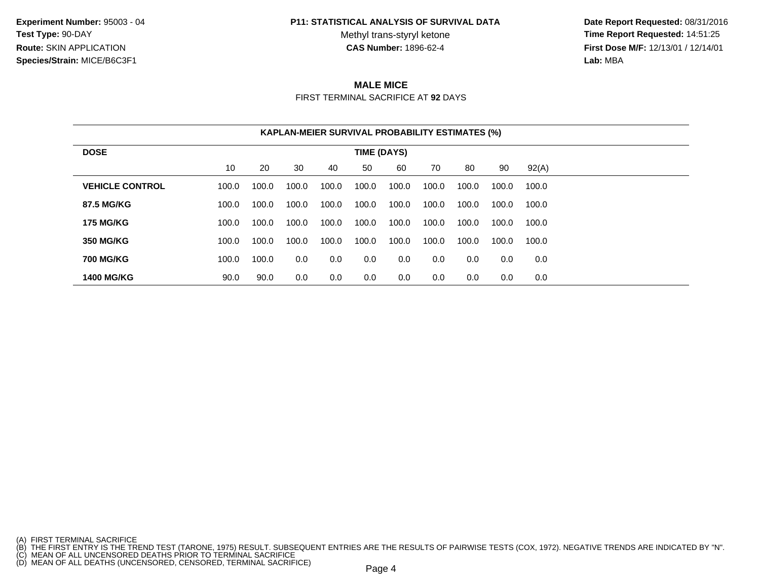**Experiment Number:** 95003 - 04**Test Type:** 90-DAY**Route:** SKIN APPLICATION**Species/Strain:** MICE/B6C3F1

#### **P11: STATISTICAL ANALYSIS OF SURVIVAL DATA**

Methyl trans-styryl ketone<br>CAS Number: 1896-62-4

 **Date Report Requested:** 08/31/2016 **Time Report Requested:** 14:51:25 **First Dose M/F:** 12/13/01 / 12/14/01<br>**Lab:** MBA **Lab:** MBA

#### **MALE MICE**FIRST TERMINAL SACRIFICE AT **92** DAYS

|                        |       |       |       |       |                    | <b>KAPLAN-MEIER SURVIVAL PROBABILITY ESTIMATES (%)</b> |       |       |       |       |
|------------------------|-------|-------|-------|-------|--------------------|--------------------------------------------------------|-------|-------|-------|-------|
| <b>DOSE</b>            |       |       |       |       | <b>TIME (DAYS)</b> |                                                        |       |       |       |       |
|                        | 10    | 20    | 30    | 40    | 50                 | 60                                                     | 70    | 80    | 90    | 92(A) |
| <b>VEHICLE CONTROL</b> | 100.0 | 100.0 | 100.0 | 100.0 | 100.0              | 100.0                                                  | 100.0 | 100.0 | 100.0 | 100.0 |
| 87.5 MG/KG             | 100.0 | 100.0 | 100.0 | 100.0 | 100.0              | 100.0                                                  | 100.0 | 100.0 | 100.0 | 100.0 |
| <b>175 MG/KG</b>       | 100.0 | 100.0 | 100.0 | 100.0 | 100.0              | 100.0                                                  | 100.0 | 100.0 | 100.0 | 100.0 |
| <b>350 MG/KG</b>       | 100.0 | 100.0 | 100.0 | 100.0 | 100.0              | 100.0                                                  | 100.0 | 100.0 | 100.0 | 100.0 |
| <b>700 MG/KG</b>       | 100.0 | 100.0 | 0.0   | 0.0   | 0.0                | 0.0                                                    | 0.0   | 0.0   | 0.0   | 0.0   |
| <b>1400 MG/KG</b>      | 90.0  | 90.0  | 0.0   | 0.0   | 0.0                | 0.0                                                    | 0.0   | 0.0   | 0.0   | 0.0   |

<sup>(</sup>A) FIRST TERMINAL SACRIFICE<br>(B) THE FIRST ENTRY IS THE TREND TEST (TARONE, 1975) RESULT. SUBSEQUENT ENTRIES ARE THE RESULTS OF PAIRWISE TESTS (COX, 1972). NEGATIVE TRENDS ARE INDICATED BY "N".<br>(C) MEAN OF ALL UNCENSORED D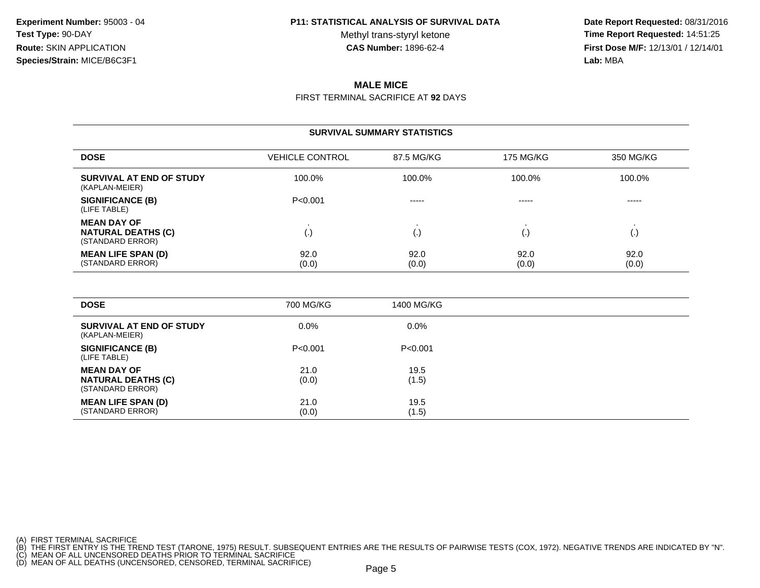Methyl trans-styryl ketone<br>CAS Number: 1896-62-4

 **Date Report Requested:** 08/31/2016 **Time Report Requested:** 14:51:25 **First Dose M/F:** 12/13/01 / 12/14/01<br>**Lab:** MBA **Lab:** MBA

# **MALE MICE**

FIRST TERMINAL SACRIFICE AT **92** DAYS

#### **SURVIVAL SUMMARY STATISTICS**

| <b>DOSE</b>                                                         | <b>VEHICLE CONTROL</b> | 87.5 MG/KG    | 175 MG/KG     | 350 MG/KG     |
|---------------------------------------------------------------------|------------------------|---------------|---------------|---------------|
| SURVIVAL AT END OF STUDY<br>(KAPLAN-MEIER)                          | 100.0%                 | 100.0%        | 100.0%        | 100.0%        |
| <b>SIGNIFICANCE (B)</b><br>(LIFE TABLE)                             | P<0.001                | $- - - - -$   | $- - - - -$   | -----         |
| <b>MEAN DAY OF</b><br><b>NATURAL DEATHS (C)</b><br>(STANDARD ERROR) | (.)                    | ١.            |               | (.,           |
| <b>MEAN LIFE SPAN (D)</b><br>(STANDARD ERROR)                       | 92.0<br>(0.0)          | 92.0<br>(0.0) | 92.0<br>(0.0) | 92.0<br>(0.0) |

| <b>DOSE</b>                                                         | 700 MG/KG     | 1400 MG/KG    |
|---------------------------------------------------------------------|---------------|---------------|
| SURVIVAL AT END OF STUDY<br>(KAPLAN-MEIER)                          | $0.0\%$       | $0.0\%$       |
| <b>SIGNIFICANCE (B)</b><br>(LIFE TABLE)                             | P < 0.001     | P<0.001       |
| <b>MEAN DAY OF</b><br><b>NATURAL DEATHS (C)</b><br>(STANDARD ERROR) | 21.0<br>(0.0) | 19.5<br>(1.5) |
| <b>MEAN LIFE SPAN (D)</b><br>(STANDARD ERROR)                       | 21.0<br>(0.0) | 19.5<br>(1.5) |

(A) FIRST TERMINAL SACRIFICE<br>(B) THE FIRST ENTRY IS THE TREND TEST (TARONE, 1975) RESULT. SUBSEQUENT ENTRIES ARE THE RESULTS OF PAIRWISE TESTS (COX, 1972). NEGATIVE TRENDS ARE INDICATED BY "N".<br>(C) MEAN OF ALL UNCENSORED D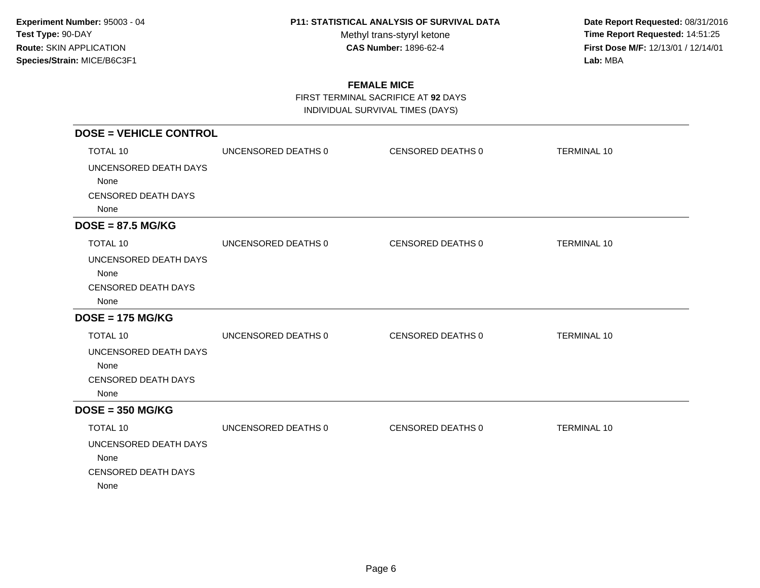Methyl trans-styryl ketone<br>CAS Number: 1896-62-4

 **Date Report Requested:** 08/31/2016 **Time Report Requested:** 14:51:25 **First Dose M/F:** 12/13/01 / 12/14/01<br>Lab: MBA **Lab:** MBA

## **FEMALE MICE**

FIRST TERMINAL SACRIFICE AT **92** DAYS

| <b>DOSE = VEHICLE CONTROL</b> |                     |                   |                    |
|-------------------------------|---------------------|-------------------|--------------------|
| <b>TOTAL 10</b>               | UNCENSORED DEATHS 0 | CENSORED DEATHS 0 | <b>TERMINAL 10</b> |
| UNCENSORED DEATH DAYS         |                     |                   |                    |
| None                          |                     |                   |                    |
| <b>CENSORED DEATH DAYS</b>    |                     |                   |                    |
| None                          |                     |                   |                    |
| $DOSE = 87.5 MG/KG$           |                     |                   |                    |
| TOTAL 10                      | UNCENSORED DEATHS 0 | CENSORED DEATHS 0 | <b>TERMINAL 10</b> |
| UNCENSORED DEATH DAYS         |                     |                   |                    |
| None                          |                     |                   |                    |
| <b>CENSORED DEATH DAYS</b>    |                     |                   |                    |
| None                          |                     |                   |                    |
| $DOSE = 175 MG/KG$            |                     |                   |                    |
| TOTAL 10                      | UNCENSORED DEATHS 0 | CENSORED DEATHS 0 | <b>TERMINAL 10</b> |
| UNCENSORED DEATH DAYS         |                     |                   |                    |
| None                          |                     |                   |                    |
| <b>CENSORED DEATH DAYS</b>    |                     |                   |                    |
| None                          |                     |                   |                    |
| $DOSE = 350 MG/KG$            |                     |                   |                    |
| <b>TOTAL 10</b>               | UNCENSORED DEATHS 0 | CENSORED DEATHS 0 | <b>TERMINAL 10</b> |
| UNCENSORED DEATH DAYS         |                     |                   |                    |
| None                          |                     |                   |                    |
| <b>CENSORED DEATH DAYS</b>    |                     |                   |                    |
| None                          |                     |                   |                    |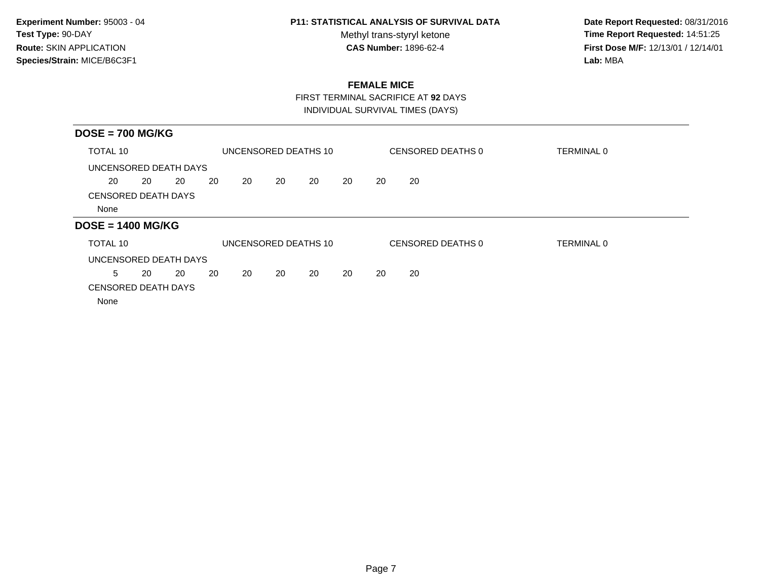Methyl trans-styryl ketone<br>CAS Number: 1896-62-4

 **Date Report Requested:** 08/31/2016 **Time Report Requested:** 14:51:25 **First Dose M/F:** 12/13/01 / 12/14/01<br>Lab: MBA **Lab:** MBA

## **FEMALE MICE**

FIRST TERMINAL SACRIFICE AT **92** DAYS

| $DOSE = 700 MG/KG$                 |    |    |    |    |    |                      |    |    |                   |                   |
|------------------------------------|----|----|----|----|----|----------------------|----|----|-------------------|-------------------|
| TOTAL 10                           |    |    |    |    |    | UNCENSORED DEATHS 10 |    |    | CENSORED DEATHS 0 | <b>TERMINAL 0</b> |
| UNCENSORED DEATH DAYS              |    |    |    |    |    |                      |    |    |                   |                   |
| 20                                 | 20 | 20 | 20 | 20 | 20 | 20                   | 20 | 20 | 20                |                   |
| <b>CENSORED DEATH DAYS</b><br>None |    |    |    |    |    |                      |    |    |                   |                   |
| $DOSE = 1400 MG/KG$                |    |    |    |    |    |                      |    |    |                   |                   |
| TOTAL 10                           |    |    |    |    |    | UNCENSORED DEATHS 10 |    |    | CENSORED DEATHS 0 | <b>TERMINAL 0</b> |
| UNCENSORED DEATH DAYS              |    |    |    |    |    |                      |    |    |                   |                   |
| 5                                  | 20 | 20 | 20 | 20 | 20 | 20                   | 20 | 20 | 20                |                   |
| <b>CENSORED DEATH DAYS</b><br>None |    |    |    |    |    |                      |    |    |                   |                   |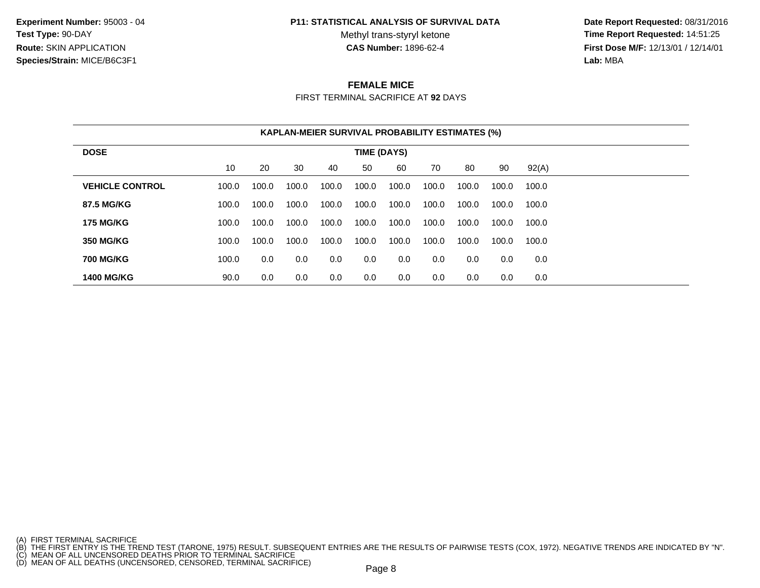**Experiment Number:** 95003 - 04**Test Type:** 90-DAY**Route:** SKIN APPLICATION**Species/Strain:** MICE/B6C3F1

#### **P11: STATISTICAL ANALYSIS OF SURVIVAL DATA**

Methyl trans-styryl ketone<br>CAS Number: 1896-62-4

 **Date Report Requested:** 08/31/2016 **Time Report Requested:** 14:51:25 **First Dose M/F:** 12/13/01 / 12/14/01<br>**Lab:** MBA **Lab:** MBA

## **FEMALE MICE**

FIRST TERMINAL SACRIFICE AT **92** DAYS

|                        |       |       |       |       |             | <b>KAPLAN-MEIER SURVIVAL PROBABILITY ESTIMATES (%)</b> |       |       |       |       |
|------------------------|-------|-------|-------|-------|-------------|--------------------------------------------------------|-------|-------|-------|-------|
| <b>DOSE</b>            |       |       |       |       | TIME (DAYS) |                                                        |       |       |       |       |
|                        | 10    | 20    | 30    | 40    | 50          | 60                                                     | 70    | 80    | 90    | 92(A) |
| <b>VEHICLE CONTROL</b> | 100.0 | 100.0 | 100.0 | 100.0 | 100.0       | 100.0                                                  | 100.0 | 100.0 | 100.0 | 100.0 |
| 87.5 MG/KG             | 100.0 | 100.0 | 100.0 | 100.0 | 100.0       | 100.0                                                  | 100.0 | 100.0 | 100.0 | 100.0 |
| <b>175 MG/KG</b>       | 100.0 | 100.0 | 100.0 | 100.0 | 100.0       | 100.0                                                  | 100.0 | 100.0 | 100.0 | 100.0 |
| <b>350 MG/KG</b>       | 100.0 | 100.0 | 100.0 | 100.0 | 100.0       | 100.0                                                  | 100.0 | 100.0 | 100.0 | 100.0 |
| <b>700 MG/KG</b>       | 100.0 | 0.0   | 0.0   | 0.0   | 0.0         | 0.0                                                    | 0.0   | 0.0   | 0.0   | 0.0   |
| <b>1400 MG/KG</b>      | 90.0  | 0.0   | 0.0   | 0.0   | 0.0         | 0.0                                                    | 0.0   | 0.0   | 0.0   | 0.0   |

(A) FIRST TERMINAL SACRIFICE<br>(B) THE FIRST ENTRY IS THE TREND TEST (TARONE, 1975) RESULT. SUBSEQUENT ENTRIES ARE THE RESULTS OF PAIRWISE TESTS (COX, 1972). NEGATIVE TRENDS ARE INDICATED BY "N".<br>(C) MEAN OF ALL UNCENSORED D